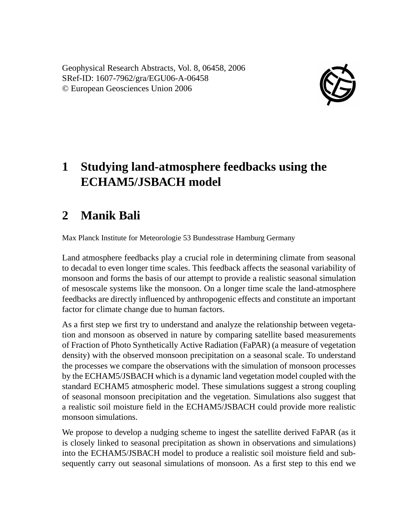Geophysical Research Abstracts, Vol. 8, 06458, 2006 SRef-ID: 1607-7962/gra/EGU06-A-06458 © European Geosciences Union 2006



## **1 Studying land-atmosphere feedbacks using the ECHAM5/JSBACH model**

## **2 Manik Bali**

Max Planck Institute for Meteorologie 53 Bundesstrase Hamburg Germany

Land atmosphere feedbacks play a crucial role in determining climate from seasonal to decadal to even longer time scales. This feedback affects the seasonal variability of monsoon and forms the basis of our attempt to provide a realistic seasonal simulation of mesoscale systems like the monsoon. On a longer time scale the land-atmosphere feedbacks are directly influenced by anthropogenic effects and constitute an important factor for climate change due to human factors.

As a first step we first try to understand and analyze the relationship between vegetation and monsoon as observed in nature by comparing satellite based measurements of Fraction of Photo Synthetically Active Radiation (FaPAR) (a measure of vegetation density) with the observed monsoon precipitation on a seasonal scale. To understand the processes we compare the observations with the simulation of monsoon processes by the ECHAM5/JSBACH which is a dynamic land vegetation model coupled with the standard ECHAM5 atmospheric model. These simulations suggest a strong coupling of seasonal monsoon precipitation and the vegetation. Simulations also suggest that a realistic soil moisture field in the ECHAM5/JSBACH could provide more realistic monsoon simulations.

We propose to develop a nudging scheme to ingest the satellite derived FaPAR (as it is closely linked to seasonal precipitation as shown in observations and simulations) into the ECHAM5/JSBACH model to produce a realistic soil moisture field and subsequently carry out seasonal simulations of monsoon. As a first step to this end we